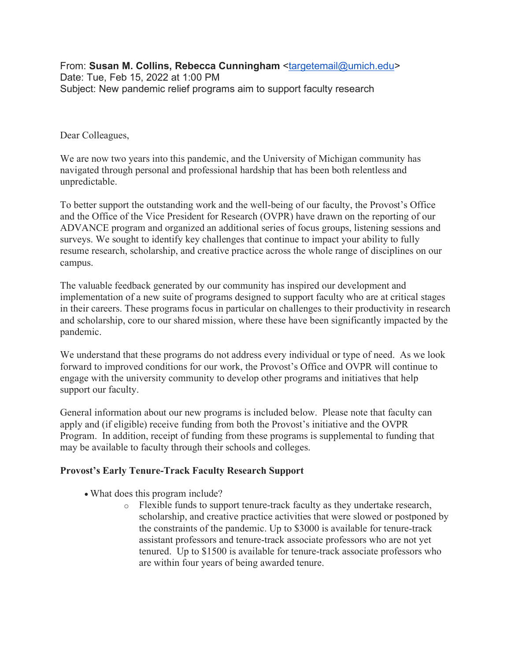From: **Susan M. Collins, Rebecca Cunningham** <targetemail@umich.edu> Date: Tue, Feb 15, 2022 at 1:00 PM Subject: New pandemic relief programs aim to support faculty research

Dear Colleagues,

We are now two years into this pandemic, and the University of Michigan community has navigated through personal and professional hardship that has been both relentless and unpredictable.

To better support the outstanding work and the well-being of our faculty, the Provost's Office and the Office of the Vice President for Research (OVPR) have drawn on the reporting of our ADVANCE program and organized an additional series of focus groups, listening sessions and surveys. We sought to identify key challenges that continue to impact your ability to fully resume research, scholarship, and creative practice across the whole range of disciplines on our campus.

The valuable feedback generated by our community has inspired our development and implementation of a new suite of programs designed to support faculty who are at critical stages in their careers. These programs focus in particular on challenges to their productivity in research and scholarship, core to our shared mission, where these have been significantly impacted by the pandemic.

We understand that these programs do not address every individual or type of need. As we look forward to improved conditions for our work, the Provost's Office and OVPR will continue to engage with the university community to develop other programs and initiatives that help support our faculty.

General information about our new programs is included below. Please note that faculty can apply and (if eligible) receive funding from both the Provost's initiative and the OVPR Program. In addition, receipt of funding from these programs is supplemental to funding that may be available to faculty through their schools and colleges.

## **Provost's Early Tenure-Track Faculty Research Support**

- What does this program include?
	- o Flexible funds to support tenure-track faculty as they undertake research, scholarship, and creative practice activities that were slowed or postponed by the constraints of the pandemic. Up to \$3000 is available for tenure-track assistant professors and tenure-track associate professors who are not yet tenured. Up to \$1500 is available for tenure-track associate professors who are within four years of being awarded tenure.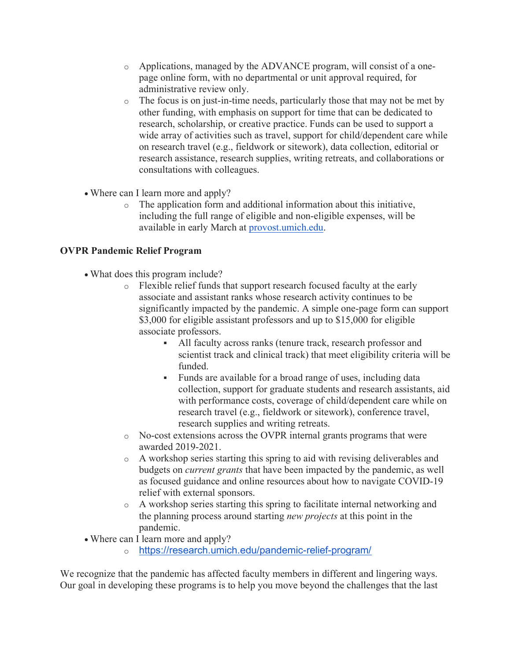- o Applications, managed by the ADVANCE program, will consist of a onepage online form, with no departmental or unit approval required, for administrative review only.
- o The focus is on just-in-time needs, particularly those that may not be met by other funding, with emphasis on support for time that can be dedicated to research, scholarship, or creative practice. Funds can be used to support a wide array of activities such as travel, support for child/dependent care while on research travel (e.g., fieldwork or sitework), data collection, editorial or research assistance, research supplies, writing retreats, and collaborations or consultations with colleagues.
- Where can I learn more and apply?
	- $\circ$  The application form and additional information about this initiative, including the full range of eligible and non-eligible expenses, will be available in early March at [provost.umich.edu.](http://provost.umich.edu/)

## **OVPR Pandemic Relief Program**

- What does this program include?
	- o Flexible relief funds that support research focused faculty at the early associate and assistant ranks whose research activity continues to be significantly impacted by the pandemic. A simple one-page form can support \$3,000 for eligible assistant professors and up to \$15,000 for eligible associate professors.
		- All faculty across ranks (tenure track, research professor and scientist track and clinical track) that meet eligibility criteria will be funded.
		- Funds are available for a broad range of uses, including data collection, support for graduate students and research assistants, aid with performance costs, coverage of child/dependent care while on research travel (e.g., fieldwork or sitework), conference travel, research supplies and writing retreats.
	- o No-cost extensions across the OVPR internal grants programs that were awarded 2019-2021.
	- o A workshop series starting this spring to aid with revising deliverables and budgets on *current grants* that have been impacted by the pandemic, as well as focused guidance and online resources about how to navigate COVID-19 relief with external sponsors.
	- o A workshop series starting this spring to facilitate internal networking and the planning process around starting *new projects* at this point in the pandemic.
- Where can I learn more and apply?
	- o <https://research.umich.edu/pandemic-relief-program/>

We recognize that the pandemic has affected faculty members in different and lingering ways. Our goal in developing these programs is to help you move beyond the challenges that the last